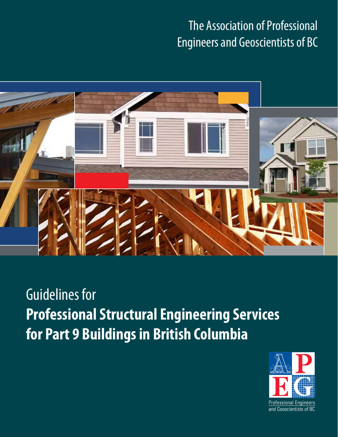### The Association of Professional Engineers and Geoscientists of BC



## Guidelines for **Professional Structural Engineering Services for Part 9 Buildings in British Columbia**

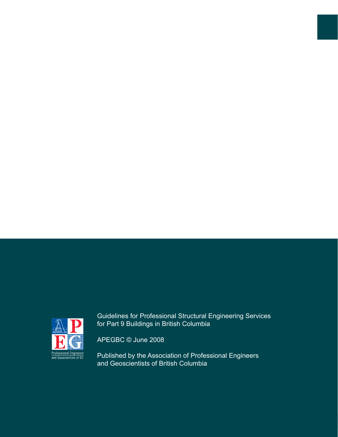

Guidelines for Professional Structural Engineering Services for Part 9 Buildings in British Columbia

APEGBC © June 2008

Published by the Association of Professional Engineers and Geoscientists of British Columbia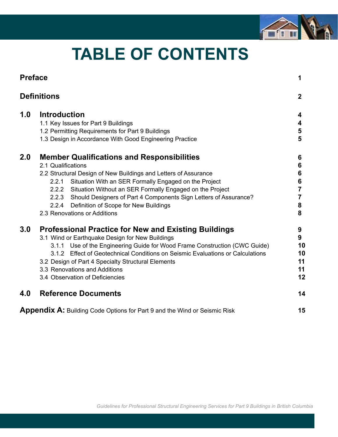

## **TABLE OF CONTENTS**

| <b>Preface</b>     |                                                                                                                                                                                                                                                                                                                                                                                                                                                  | 1                                                 |
|--------------------|--------------------------------------------------------------------------------------------------------------------------------------------------------------------------------------------------------------------------------------------------------------------------------------------------------------------------------------------------------------------------------------------------------------------------------------------------|---------------------------------------------------|
| <b>Definitions</b> |                                                                                                                                                                                                                                                                                                                                                                                                                                                  | $\mathbf{2}$                                      |
| 1.0                | <b>Introduction</b><br>1.1 Key Issues for Part 9 Buildings<br>1.2 Permitting Requirements for Part 9 Buildings<br>1.3 Design in Accordance With Good Engineering Practice                                                                                                                                                                                                                                                                        | 4<br>4<br>5<br>5                                  |
| 2.0                | <b>Member Qualifications and Responsibilities</b><br>2.1 Qualifications<br>2.2 Structural Design of New Buildings and Letters of Assurance<br>Situation With an SER Formally Engaged on the Project<br>2.2.1<br>Situation Without an SER Formally Engaged on the Project<br>2.2.2<br>Should Designers of Part 4 Components Sign Letters of Assurance?<br>2.2.3<br>Definition of Scope for New Buildings<br>2.2.4<br>2.3 Renovations or Additions | 6<br>6<br>6<br>6<br>$\overline{7}$<br>7<br>8<br>8 |
| 3.0                | <b>Professional Practice for New and Existing Buildings</b><br>3.1 Wind or Earthquake Design for New Buildings<br>Use of the Engineering Guide for Wood Frame Construction (CWC Guide)<br>3.1.1<br>3.1.2 Effect of Geotechnical Conditions on Seismic Evaluations or Calculations<br>3.2 Design of Part 4 Specialty Structural Elements<br>3.3 Renovations and Additions<br>3.4 Observation of Deficiencies                                      | 9<br>9<br>10<br>10<br>11<br>11<br>12              |
| 4.0                | <b>Reference Documents</b>                                                                                                                                                                                                                                                                                                                                                                                                                       | 14                                                |
|                    | <b>Appendix A:</b> Building Code Options for Part 9 and the Wind or Seismic Risk                                                                                                                                                                                                                                                                                                                                                                 | 15                                                |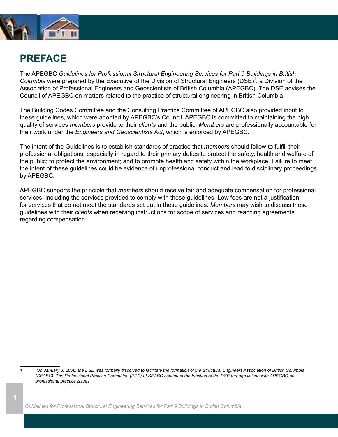

### **PREFACE**

The APEGBC *Guidelines for Professional Structural Engineering Services for Part 9 Buildings in British*  Columbia were prepared by the Executive of the Division of Structural Engineers (DSE)<sup>1</sup>, a Division of the Association of Professional Engineers and Geoscientists of British Columbia (APEGBC). The DSE advises the Council of APEGBC on matters related to the practice of structural engineering in British Columbia.

The Building Codes Committee and the Consulting Practice Committee of APEGBC also provided input to these guidelines, which were adopted by APEGBC's Council. APEGBC is committed to maintaining the high quality of services *members* provide to their *clients* and the public. *Members* are professionally accountable for their work under the *Engineers and Geoscientists Act*, which is enforced by APEGBC.

The intent of the Guidelines is to establish standards of practice that *members* should follow to fulfill their professional obligations, especially in regard to their primary duties to protect the safety, health and welfare of the public; to protect the environment; and to promote health and safety within the workplace. Failure to meet the intent of these guidelines could be evidence of unprofessional conduct and lead to disciplinary proceedings by APEGBC.

APEGBC supports the principle that *members* should receive fair and adequate compensation for professional services, including the services provided to comply with these guidelines. Low fees are not a justification for services that do not meet the standards set out in these guidelines. *Members* may wish to discuss these guidelines with their *clients* when receiving instructions for scope of services and reaching agreements regarding compensation.

*1 On January 3, 2008, the DSE was formally dissolved to facilitate the formation of the Structural Engineers Association of British Columbia (SEABC). The Professional Practice Committee (PPC) of SEABC continues the function of the DSE through liaison with APEGBC on professional practice issues.*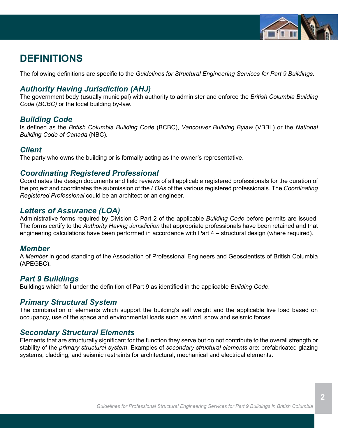

### **DEFINITIONS**

The following definitions are specific to the *Guidelines for Structural Engineering Services for Part 9 Buildings*.

### *Authority Having Jurisdiction (AHJ)*

The government body (usually municipal) with authority to administer and enforce the *British Columbia Building Code* (*BCBC)* or the local building by-law.

### *Building Code*

Is defined as the *British Columbia Building Code* (BCBC), *Vancouver Building Bylaw* (VBBL) or the *National Building Code of Canada* (NBC).

### *Client*

The party who owns the building or is formally acting as the owner's representative.

### *Coordinating Registered Professional*

Coordinates the design documents and field reviews of all applicable registered professionals for the duration of the project and coordinates the submission of the *LOAs* of the various registered professionals. The *Coordinating Registered Professional* could be an architect or an engineer.

### *Letters of Assurance (LOA)*

Administrative forms required by Division C Part 2 of the applicable *Building Code* before permits are issued. The forms certify to the *Authority Having Jurisdiction* that appropriate professionals have been retained and that engineering calculations have been performed in accordance with Part 4 – structural design (where required).

#### *Member*

A *Member* in good standing of the Association of Professional Engineers and Geoscientists of British Columbia (APEGBC).

### *Part 9 Buildings*

Buildings which fall under the definition of Part 9 as identified in the applicable *Building Code.*

### *Primary Structural System*

The combination of elements which support the building's self weight and the applicable live load based on occupancy, use of the space and environmental loads such as wind, snow and seismic forces.

### *Secondary Structural Elements*

Elements that are structurally significant for the function they serve but do not contribute to the overall strength or stability of the *primary structural system*. Examples of *secondary structural elements* are: prefabricated glazing systems, cladding, and seismic restraints for architectural, mechanical and electrical elements.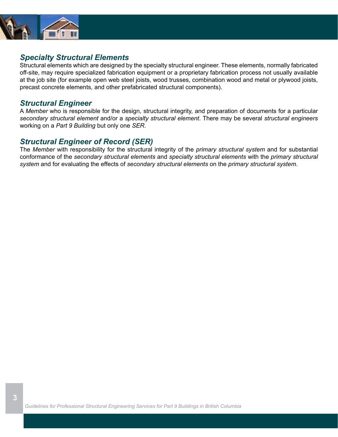

### *Specialty Structural Elements*

Structural elements which are designed by the specialty structural engineer. These elements, normally fabricated off-site, may require specialized fabrication equipment or a proprietary fabrication process not usually available at the job site (for example open web steel joists, wood trusses, combination wood and metal or plywood joists, precast concrete elements, and other prefabricated structural components).

### *Structural Engineer*

A *Member* who is responsible for the design, structural integrity, and preparation of documents for a particular *secondary structural element* and/or a *specialty structural element*. There may be several *structural engineers* working on a *Part 9 Building* but only one *SER.*

### *Structural Engineer of Record (SER)*

The *Member* with responsibility for the structural integrity of the *primary structural system* and for substantial conformance of the *secondary structural elements* and *specialty structural elements* with the *primary structural system* and for evaluating the effects of *secondary structural elements* on the *primary structural system*.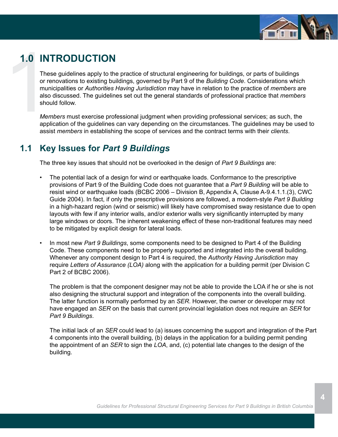

### **1.0 INTRODUCTION**

1.0 IN<br>The or re<br>or re<br>mur<br>also<br>sho<br>*Mer*<br>app These guidelines apply to the practice of structural engineering for buildings, or parts of buildings or renovations to existing buildings, governed by Part 9 of the *Building Code*. Considerations which municipalities or *Authorities Having Jurisdiction* may have in relation to the practice of *members* are also discussed. The guidelines set out the general standards of professional practice that *members* should follow.

*Members* must exercise professional judgment when providing professional services; as such, the application of the guidelines can vary depending on the circumstances. The guidelines may be used to assist *members* in establishing the scope of services and the contract terms with their *clients*.

### **1.1 Key Issues for** *Part 9 Buildings*

The three key issues that should not be overlooked in the design of *Part 9 Buildings* are:

- The potential lack of a design for wind or earthquake loads. Conformance to the prescriptive provisions of Part 9 of the Building Code does not guarantee that a *Part 9 Building* will be able to resist wind or earthquake loads (BCBC 2006 – Division B, Appendix A, Clause A-9.4.1.1.(3), CWC Guide 2004). In fact, if only the prescriptive provisions are followed, a modern-style *Part 9 Building* in a high-hazard region (wind or seismic) will likely have compromised sway resistance due to open layouts with few if any interior walls, and/or exterior walls very significantly interrupted by many large windows or doors. The inherent weakening effect of these non-traditional features may need to be mitigated by explicit design for lateral loads.
- In most new *Part 9 Buildings*, some components need to be designed to Part 4 of the Building Code. These components need to be properly supported and integrated into the overall building. Whenever any component design to Part 4 is required, the *Authority Having Jurisdiction* may require *Letters of Assurance (LOA)* along with the application for a building permit (per Division C Part 2 of BCBC 2006).

The problem is that the component designer may not be able to provide the LOA if he or she is not also designing the structural support and integration of the components into the overall building. The latter function is normally performed by an *SER*. However, the owner or developer may not have engaged an *SER* on the basis that current provincial legislation does not require an *SER* for *Part 9 Buildings*.

The initial lack of an *SER* could lead to (a) issues concerning the support and integration of the Part 4 components into the overall building, (b) delays in the application for a building permit pending the appointment of an *SER* to sign the *LOA*, and, (c) potential late changes to the design of the building.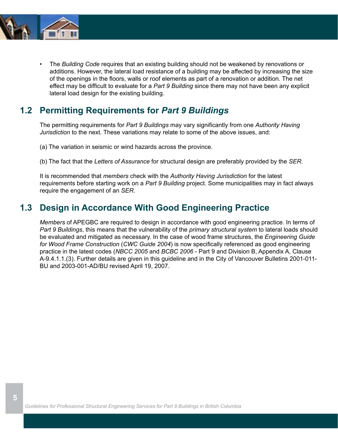

 **5**

The *Building Code* requires that an existing building should not be weakened by renovations or additions. However, the lateral load resistance of a building may be affected by increasing the size of the openings in the floors, walls or roof elements as part of a renovation or addition. The net effect may be difficult to evaluate for a *Part 9 Building* since there may not have been any explicit lateral load design for the existing building.

### **1.2 Permitting Requirements for** *Part 9 Buildings*

The permitting requirements for *Part 9 Buildings* may vary significantly from one *Authority Having Jurisdiction* to the next. These variations may relate to some of the above issues, and:

(a) The variation in seismic or wind hazards across the province.

(b) The fact that the *Letters of Assurance* for structural design are preferably provided by the *SER.*

It is recommended that *members* check with the *Authority Having Jurisdiction* for the latest requirements before starting work on a *Part 9 Building* project. Some municipalities may in fact always require the engagement of an *SER*.

### **1.3 Design in Accordance With Good Engineering Practice**

*Members* of APEGBC are required to design in accordance with good engineering practice. In terms of *Part 9 Buildings*, this means that the vulnerability of the *primary structural system* to lateral loads should be evaluated and mitigated as necessary. In the case of wood frame structures, the *Engineering Guide for Wood Frame Construction* (*CWC Guide 2004*) is now specifically referenced as good engineering practice in the latest codes (*NBCC 2005* and *BCBC 2006* - Part 9 and Division B, Appendix A, Clause A-9.4.1.1.(3). Further details are given in this guideline and in the City of Vancouver Bulletins 2001-011- BU and 2003-001-AD/BU revised April 19, 2007.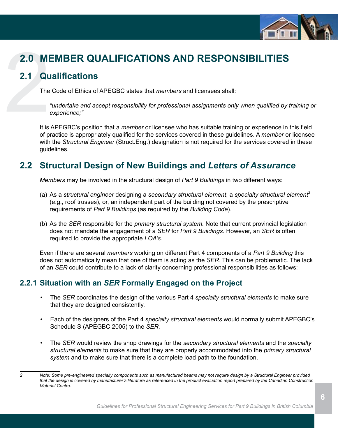

# 2.0 MI<br>2.1 Qu<br>The<br>It is **2.0 MEMBER QUALIFICATIONS AND RESPONSIBILITIES**

### **2.1 Qualifications**

The Code of Ethics of APEGBC states that *members* and licensees shall*:*

*"undertake and accept responsibility for professional assignments only when qualified by training or experience;"*

It is APEGBC's position that a *member* or licensee who has suitable training or experience in this field of practice is appropriately qualified for the services covered in these guidelines. A *member* or licensee with the *Structural Engineer* (Struct.Eng.) designation is not required for the services covered in these guidelines.

### **2.2 Structural Design of New Buildings and** *Letters of Assurance*

*Members* may be involved in the structural design of *Part 9 Buildings* in two different ways:

- (a) As a *structural engineer* designing a *secondary structural element*, a *specialty structural element<sup>2</sup>* (e.g., roof trusses), or, an independent part of the building not covered by the prescriptive requirements of *Part 9 Buildings* (as required by the *Building Code*).
- (b) As the *SER* responsible for the *primary structural system.* Note that current provincial legislation does not mandate the engagement of a *SER* for *Part 9 Buildings*. However, an *SER* is often required to provide the appropriate *LOA's*.

Even if there are several *members* working on different Part 4 components of a *Part 9 Building* this does not automatically mean that one of them is acting as the *SER*. This can be problematic. The lack of an *SER* could contribute to a lack of clarity concerning professional responsibilities as follows:

### **2.2.1 Situation with an** *SER* **Formally Engaged on the Project**

- The *SER* coordinates the design of the various Part 4 *specialty structural elements* to make sure that they are designed consistently.
- • Each of the designers of the Part 4 *specialty structural elements* would normally submit APEGBC's Schedule S (APEGBC 2005) to the *SER.*
- The *SER* would review the shop drawings for the *secondary structural elements* and the *specialty structural elements* to make sure that they are properly accommodated into the *primary structural system* and to make sure that there is a complete load path to the foundation.

*<sup>2</sup> Note: Some pre-engineered specialty components such as manufactured beams may not require design by a Structural Engineer provided that the design is covered by manufacturer's literature as referenced in the product evaluation report prepared by the Canadian Construction Material Centre.*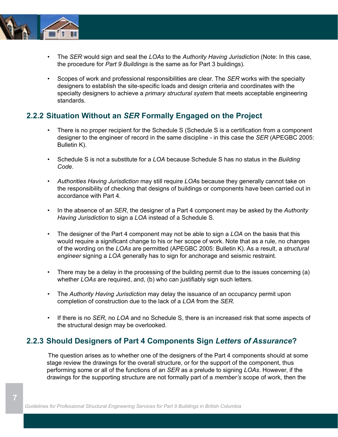

 **7**

- • The *SER* would sign and seal the *LOAs* to the *Authority Having Jurisdiction* (Note: In this case, the procedure for *Part 9 Buildings* is the same as for Part 3 buildings).
- • Scopes of work and professional responsibilities are clear. The *SER* works with the specialty designers to establish the site-specific loads and design criteria and coordinates with the specialty designers to achieve a *primary structural system* that meets acceptable engineering standards.

### **2.2.2 Situation Without an** *SER* **Formally Engaged on the Project**

- There is no proper recipient for the Schedule S (Schedule S is a certification from a component designer to the engineer of record in the same discipline - in this case the *SER* (APEGBC 2005: Bulletin K).
- • Schedule S is not a substitute for a *LOA* because Schedule S has no status in the *Building Code*.
- *• Authorities Having Jurisdiction* may still require *LOA*s because they generally cannot take on the responsibility of checking that designs of buildings or components have been carried out in accordance with Part 4*.*
- • In the absence of an *SER*, the designer of a Part 4 component may be asked by the *Authority Having Jurisdiction* to sign a *LOA* instead of a Schedule S.
- The designer of the Part 4 component may not be able to sign a *LOA* on the basis that this would require a significant change to his or her scope of work. Note that as a rule, no changes of the wording on the *LOAs* are permitted (APEGBC 2005: Bulletin K). As a result, a *structural engineer* signing a *LOA* generally has to sign for anchorage and seismic restraint.
- There may be a delay in the processing of the building permit due to the issues concerning (a) whether *LOAs* are required, and, (b) who can justifiably sign such letters.
- • The *Authority Having Jurisdiction* may delay the issuance of an occupancy permit upon completion of construction due to the lack of a *LOA* from the *SER*.
- • If there is no *SER*, no *LOA* and no Schedule S, there is an increased risk that some aspects of the structural design may be overlooked.

### **2.2.3 Should Designers of Part 4 Components Sign** *Letters of Assurance***?**

The question arises as to whether one of the designers of the Part 4 components should at some stage review the drawings for the overall structure, or for the support of the component, thus performing some or all of the functions of an *SER* as a prelude to signing *LOAs*. However, if the drawings for the supporting structure are not formally part of a *member's* scope of work, then the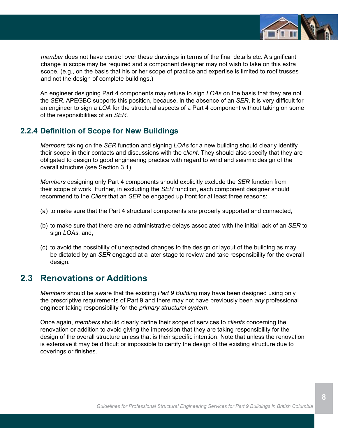

*member* does not have control over these drawings in terms of the final details etc. A significant change in scope may be required and a component designer may not wish to take on this extra scope. (e.g., on the basis that his or her scope of practice and expertise is limited to roof trusses and not the design of complete buildings.)

An engineer designing Part 4 components may refuse to sign *LOAs* on the basis that they are not the *SER*. APEGBC supports this position, because, in the absence of an *SER*, it is very difficult for an engineer to sign a *LOA* for the structural aspects of a Part 4 component without taking on some of the responsibilities of an *SER*.

### **2.2.4 Definition of Scope for New Buildings**

*Members* taking on the *SER* function and signing *LOAs* for a new building should clearly identify their scope in their contacts and discussions with the c*lient*. They should also specify that they are obligated to design to good engineering practice with regard to wind and seismic design of the overall structure (see Section 3.1).

*Members* designing only Part 4 components should explicitly exclude the *SER* function from their scope of work. Further, in excluding the *SER* function, each component designer should recommend to the *Client* that an *SER* be engaged up front for at least three reasons:

- (a) to make sure that the Part 4 structural components are properly supported and connected,
- (b) to make sure that there are no administrative delays associated with the initial lack of an *SER* to sign *LOAs*, and,
- (c) to avoid the possibility of unexpected changes to the design or layout of the building as may be dictated by an *SER* engaged at a later stage to review and take responsibility for the overall design.

### **2.3 Renovations or Additions**

*Members* should be aware that the existing *Part 9 Building* may have been designed using only the prescriptive requirements of Part 9 and there may not have previously been *any* professional engineer taking responsibility for the *primary structural system*.

Once again, *members* should clearly define their scope of services to *clients* concerning the renovation or addition to avoid giving the impression that they are taking responsibility for the design of the overall structure unless that is their specific intention. Note that unless the renovation is extensive it may be difficult or impossible to certify the design of the existing structure due to coverings or finishes.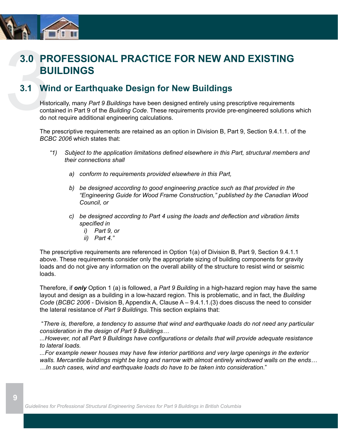

## 3.0 PF<br>BU<br>3.1 Wi<br>Hist<br>cont<br>do r **3.0 PROFESSIONAL PRACTICE FOR NEW AND EXISTING BUILDINGS**

### **3.1 Wind or Earthquake Design for New Buildings**

Historically, many *Part 9 Buildings* have been designed entirely using prescriptive requirements contained in Part 9 of the *Building Code*. These requirements provide pre-engineered solutions which do not require additional engineering calculations.

The prescriptive requirements are retained as an option in Division B, Part 9, Section 9.4.1.1. of the *BCBC 2006* which states that:

- *"1) Subject to the application limitations defined elsewhere in this Part, structural members and their connections shall*
	- *a) conform to requirements provided elsewhere in this Part,*
	- *b) be designed according to good engineering practice such as that provided in the "Engineering Guide for Wood Frame Construction," published by the Canadian Wood Council, or*
	- *c) be designed according to Part 4 using the loads and deflection and vibration limits specified in*
		- *i) Part 9, or*
		- *ii) Part 4."*

The prescriptive requirements are referenced in Option 1(a) of Division B, Part 9, Section 9.4.1.1 above. These requirements consider only the appropriate sizing of building components for gravity loads and do not give any information on the overall ability of the structure to resist wind or seismic loads.

Therefore, if *only* Option 1 (a) is followed, a *Part 9 Building* in a high-hazard region may have the same layout and design as a building in a low-hazard region. This is problematic, and in fact, the *Building Code* (*BCBC 2006* - Division B, Appendix A, Clause A – 9.4.1.1.(3) does discuss the need to consider the lateral resistance of *Part 9 Buildings*. This section explains that:

 "*There is, therefore, a tendency to assume that wind and earthquake loads do not need any particular consideration in the design of Part 9 Buildings…*

*...However, not all Part 9 Buildings have configurations or details that will provide adequate resistance to lateral loads.* 

*...For example newer houses may have few interior partitions and very large openings in the exterior walls. Mercantile buildings might be long and narrow with almost entirely windowed walls on the ends… …In such cases, wind and earthquake loads do have to be taken into consideration*."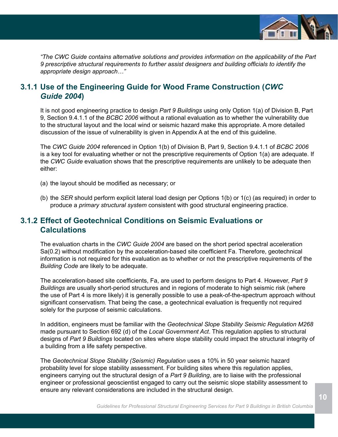

*"The CWC Guide contains alternative solutions and provides information on the applicability of the Part 9 prescriptive structural requirements to further assist designers and building officials to identify the appropriate design approach…"*

### **3.1.1 Use of the Engineering Guide for Wood Frame Construction (***CWC Guide 2004***)**

It is not good engineering practice to design *Part 9 Buildings* using only Option 1(a) of Division B, Part 9, Section 9.4.1.1 of the *BCBC 2006* without a rational evaluation as to whether the vulnerability due to the structural layout and the local wind or seismic hazard make this appropriate. A more detailed discussion of the issue of vulnerability is given in Appendix A at the end of this guideline.

The *CWC Guide 2004* referenced in Option 1(b) of Division B, Part 9, Section 9.4.1.1 of *BCBC 2006* is a key tool for evaluating whether or not the prescriptive requirements of Option 1(a) are adequate. If the *CWC Guide* evaluation shows that the prescriptive requirements are unlikely to be adequate then either:

- (a) the layout should be modified as necessary; or
- (b) the *SER* should perform explicit lateral load design per Options 1(b) or 1(c) (as required) in order to produce a *primary structural system* consistent with good structural engineering practice.

### **3.1.2 Effect of Geotechnical Conditions on Seismic Evaluations or Calculations**

The evaluation charts in the *CWC Guide 2004* are based on the short period spectral acceleration Sa(0.2) without modification by the acceleration-based site coefficient Fa. Therefore, geotechnical information is not required for this evaluation as to whether or not the prescriptive requirements of the *Building Code* are likely to be adequate.

The acceleration-based site coefficients, Fa, are used to perform designs to Part 4. However, *Part 9 Buildings* are usually short-period structures and in regions of moderate to high seismic risk (where the use of Part 4 is more likely) it is generally possible to use a peak-of-the-spectrum approach without significant conservatism. That being the case, a geotechnical evaluation is frequently not required solely for the purpose of seismic calculations.

In addition, engineers must be familiar with the *Geotechnical Slope Stability Seismic Regulation M268* made pursuant to Section 692 (d) of the *Local Government Act*. This regulation applies to structural designs of *Part 9 Buildings* located on sites where slope stability could impact the structural integrity of a building from a life safety perspective*.*

The *Geotechnical Slope Stability (Seismic) Regulation* uses a 10% in 50 year seismic hazard probability level for slope stability assessment. For building sites where this regulation applies, engineers carrying out the structural design of a *Part 9 Building*, are to liaise with the professional engineer or professional geoscientist engaged to carry out the seismic slope stability assessment to ensure any relevant considerations are included in the structural design.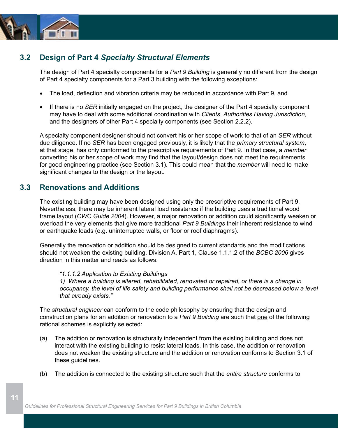

### **3.2 Design of Part 4** *Specialty Structural Elements*

The design of Part 4 specialty components for a *Part 9 Building* is generally no different from the design of Part 4 specialty components for a Part 3 building with the following exceptions:

- The load, deflection and vibration criteria may be reduced in accordance with Part 9, and
- If there is no *SER* initially engaged on the project, the designer of the Part 4 specialty component may have to deal with some additional coordination with *Clients*, *Authorities Having Jurisdiction*, and the designers of other Part 4 specialty components (see Section 2.2.2).

A specialty component designer should not convert his or her scope of work to that of an *SER* without due diligence. If no *SER* has been engaged previously, it is likely that the *primary structural system*, at that stage, has only conformed to the prescriptive requirements of Part 9*.* In that case, a *member* converting his or her scope of work may find that the layout/design does not meet the requirements for good engineering practice (see Section 3.1). This could mean that the *member* will need to make significant changes to the design or the layout.

### **3.3 Renovations and Additions**

The existing building may have been designed using only the prescriptive requirements of Part 9. Nevertheless, there may be inherent lateral load resistance if the building uses a traditional wood frame layout (*CWC Guide 2004*). However, a major renovation or addition could significantly weaken or overload the very elements that give more traditional *Part 9 Buildings* their inherent resistance to wind or earthquake loads (e.g. uninterrupted walls, or floor or roof diaphragms).

Generally the renovation or addition should be designed to current standards and the modifications should not weaken the existing building. Division A, Part 1, Clause 1.1.1.2 of the *BCBC 2006* gives direction in this matter and reads as follows:

#### *"1.1.1.2 Application to Existing Buildings*

*1) Where a building is altered, rehabilitated, renovated or repaired, or there is a change in occupancy, the level of life safety and building performance shall not be decreased below a level that already exists."*

The *structural engineer* can conform to the code philosophy by ensuring that the design and construction plans for an addition or renovation to a *Part 9 Building* are such that one of the following rational schemes is explicitly selected:

- (a) The addition or renovation is structurally independent from the existing building and does not interact with the existing building to resist lateral loads. In this case, the addition or renovation does not weaken the existing structure and the addition or renovation conforms to Section 3.1 of these guidelines.
- (b) The addition is connected to the existing structure such that the *entire structure* conforms to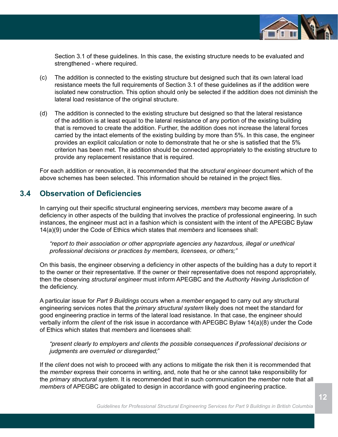

Section 3.1 of these guidelines. In this case, the existing structure needs to be evaluated and strengthened - where required.

- (c) The addition is connected to the existing structure but designed such that its own lateral load resistance meets the full requirements of Section 3.1 of these guidelines as if the addition were isolated new construction. This option should only be selected if the addition does not diminish the lateral load resistance of the original structure.
- (d) The addition is connected to the existing structure but designed so that the lateral resistance of the addition is at least equal to the lateral resistance of any portion of the existing building that is removed to create the addition. Further, the addition does not increase the lateral forces carried by the intact elements of the existing building by more than 5%. In this case, the engineer provides an explicit calculation or note to demonstrate that he or she is satisfied that the 5% criterion has been met. The addition should be connected appropriately to the existing structure to provide any replacement resistance that is required.

For each addition or renovation, it is recommended that the *structural engineer* document which of the above schemes has been selected. This information should be retained in the project files.

### **3.4 Observation of Deficiencies**

In carrying out their specific structural engineering services, *members* may become aware of a deficiency in other aspects of the building that involves the practice of professional engineering. In such instances, the engineer must act in a fashion which is consistent with the intent of the APEGBC Bylaw 14(a)(9) under the Code of Ethics which states that *members* and licensees shall:

*"report to their association or other appropriate agencies any hazardous, illegal or unethical professional decisions or practices by members, licensees, or others;"*

On this basis, the engineer observing a deficiency in other aspects of the building has a duty to report it to the owner or their representative. If the owner or their representative does not respond appropriately, then the observing *structural engineer* must inform APEGBC and the *Authority Having Jurisdiction* of the deficiency.

A particular issue for *Part 9 Buildings* occurs when a *member* engaged to carry out *any* structural engineering services notes that the *primary structural system* likely does not meet the standard for good engineering practice in terms of the lateral load resistance. In that case, the engineer should verbally inform the *client* of the risk issue in accordance with APEGBC Bylaw 14(a)(8) under the Code of Ethics which states that *members* and licensees shall:

*"present clearly to employers and clients the possible consequences if professional decisions or judgments are overruled or disregarded;*"

If the *client* does not wish to proceed with any actions to mitigate the risk then it is recommended that the *member* express their concerns in writing, and, note that he or she cannot take responsibility for the *primary structural system*. It is recommended that in such communication the *member* note that all *members* of APEGBC are obligated to design in accordance with good engineering practice.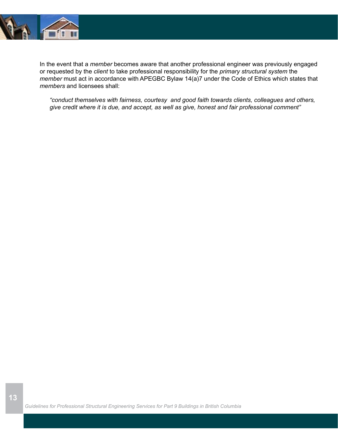

**13**

In the event that a *member* becomes aware that another professional engineer was previously engaged or requested by the *client* to take professional responsibility for the *primary structural system* the *member* must act in accordance with APEGBC Bylaw 14(a)7 under the Code of Ethics which states that *members* and licensees shall:

*"conduct themselves with fairness, courtesy and good faith towards clients, colleagues and others, give credit where it is due, and accept, as well as give, honest and fair professional comment"*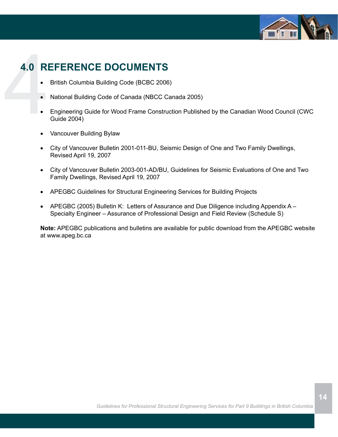

# 4.0 RI **4.0 REFERENCE DOCUMENTS**

- British Columbia Building Code (BCBC 2006)
- National Building Code of Canada (NBCC Canada 2005)
- Engineering Guide for Wood Frame Construction Published by the Canadian Wood Council (CWC Guide 2004)
- Vancouver Building Bylaw
- City of Vancouver Bulletin 2001-011-BU, Seismic Design of One and Two Family Dwellings, Revised April 19, 2007
- City of Vancouver Bulletin 2003-001-AD/BU, Guidelines for Seismic Evaluations of One and Two Family Dwellings, Revised April 19, 2007
- • APEGBC Guidelines for Structural Engineering Services for Building Projects
- APEGBC (2005) Bulletin K: Letters of Assurance and Due Diligence including Appendix A -Specialty Engineer – Assurance of Professional Design and Field Review (Schedule S)

**Note:** APEGBC publications and bulletins are available for public download from the APEGBC website at www.apeg.bc.ca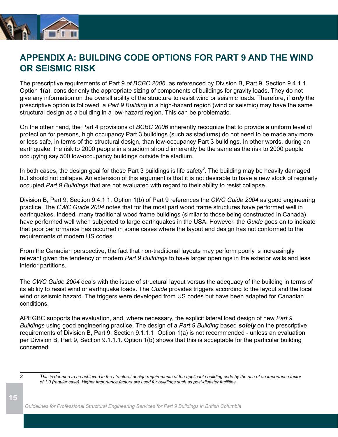

### **APPENDIX A: BUILDING CODE OPTIONS FOR PART 9 AND THE WIND OR SEISMIC RISK**

The prescriptive requirements of Part 9 *of BCBC 2006*, as referenced by Division B, Part 9, Section 9.4.1.1. Option 1(a), consider only the appropriate sizing of components of buildings for gravity loads. They do not give any information on the overall ability of the structure to resist wind or seismic loads. Therefore, if *only* the prescriptive option is followed, a *Part 9 Building* in a high-hazard region (wind or seismic) may have the same structural design as a building in a low-hazard region. This can be problematic.

On the other hand, the Part 4 provisions of *BCBC 2006* inherently recognize that to provide a uniform level of protection for persons, high occupancy Part 3 buildings (such as stadiums) do not need to be made any more or less safe, in terms of the structural design, than low-occupancy Part 3 buildings. In other words, during an earthquake, the risk to 2000 people in a stadium should inherently be the same as the risk to 2000 people occupying say 500 low-occupancy buildings outside the stadium.

In both cases, the design goal for these Part 3 buildings is life safety<sup>3</sup>. The building may be heavily damaged but should not collapse. An extension of this argument is that it is not desirable to have a new stock of regularly occupied *Part 9 Buildings* that are not evaluated with regard to their ability to resist collapse.

Division B, Part 9, Section 9.4.1.1. Option 1(b) of Part 9 references the *CWC Guide 2004* as good engineering practice. The *CWC Guide 2004* notes that for the most part wood frame structures have performed well in earthquakes. Indeed, many traditional wood frame buildings (similar to those being constructed in Canada) have performed well when subjected to large earthquakes in the USA. However, the *Guide* goes on to indicate that poor performance has occurred in some cases where the layout and design has not conformed to the requirements of modern US codes.

From the Canadian perspective, the fact that non-traditional layouts may perform poorly is increasingly relevant given the tendency of modern *Part 9 Buildings* to have larger openings in the exterior walls and less interior partitions.

The *CWC Guide 2004* deals with the issue of structural layout versus the adequacy of the building in terms of its ability to resist wind or earthquake loads. The *Guide* provides triggers according to the layout and the local wind or seismic hazard. The triggers were developed from US codes but have been adapted for Canadian conditions.

APEGBC supports the evaluation, and, where necessary, the explicit lateral load design of new *Part 9 Buildings* using good engineering practice. The design of a *Part 9 Building* based *solely* on the prescriptive requirements of Division B, Part 9, Section 9.1.1.1. Option 1(a) is not recommended - unless an evaluation per Division B, Part 9, Section 9.1.1.1. Option 1(b) shows that this is acceptable for the particular building concerned.

**15**

*<sup>3</sup> This is deemed to be achieved in the structural design requirements of the applicable building code by the use of an importance factor of 1.0 (regular case). Higher importance factors are used for buildings such as post-disaster facilities.*